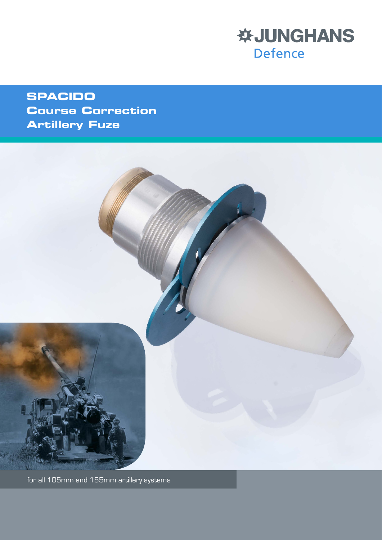

## **SPACIDO Course Correction Artillery Fuze**



for all 105mm and 155mm artillery systems